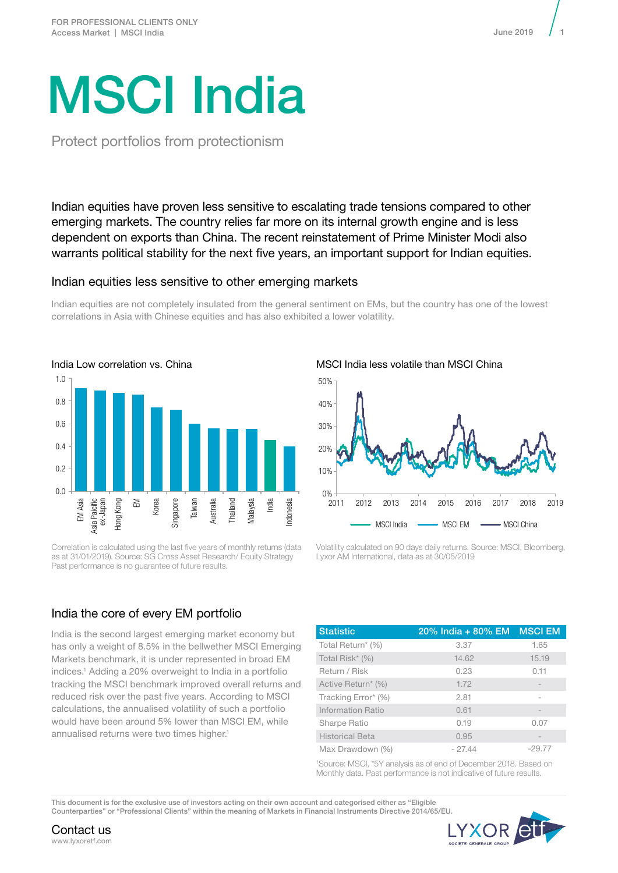# MSCI India

Protect portfolios from protectionism

Indian equities have proven less sensitive to escalating trade tensions compared to other emerging markets. The country relies far more on its internal growth engine and is less dependent on exports than China. The recent reinstatement of Prime Minister Modi also warrants political stability for the next five years, an important support for Indian equities.

## Indian equities less sensitive to other emerging markets

Indian equities are not completely insulated from the general sentiment on EMs, but the country has one of the lowest correlations in Asia with Chinese equities and has also exhibited a lower volatility.



Correlation is calculated using the last five years of monthly returns (data as at 31/01/2019). Source: SG Cross Asset Research/ Equity Strategy Past performance is no guarantee of future results.

## India the core of every EM portfolio

India is the second largest emerging market economy but has only a weight of 8.5% in the bellwether MSCI Emerging Markets benchmark, it is under represented in broad EM indices.1 Adding a 20% overweight to India in a portfolio tracking the MSCI benchmark improved overall returns and reduced risk over the past five years. According to MSCI calculations, the annualised volatility of such a portfolio would have been around 5% lower than MSCI EM, while annualised returns were two times higher.<sup>1</sup>



Volatility calculated on 90 days daily returns. Source: MSCI, Bloomberg, Lyxor AM International, data as at 30/05/2019

| <b>Statistic</b>       | 20% India + 80% EM | <b>MSCI EM</b> |
|------------------------|--------------------|----------------|
| Total Return* (%)      | 3.37               | 1.65           |
| Total Risk* (%)        | 14.62              | 15.19          |
| Return / Risk          | 0.23               | 0.11           |
| Active Return* (%)     | 1.72               |                |
| Tracking Error* (%)    | 2.81               |                |
| Information Ratio      | 0.61               |                |
| Sharpe Ratio           | 0.19               | 0.07           |
| <b>Historical Beta</b> | 0.95               |                |
| Max Drawdown (%)       | $-27.44$           | $-29.77$       |

1 Source: MSCI, \*5Y analysis as of end of December 2018. Based on Monthly data. Past performance is not indicative of future results.

This document is for the exclusive use of investors acting on their own account and categorised either as "Eligible Counterparties" or "Professional Clients" within the meaning of Markets in Financial Instruments Directive 2014/65/EU.



Contact us www.lyxoretf.com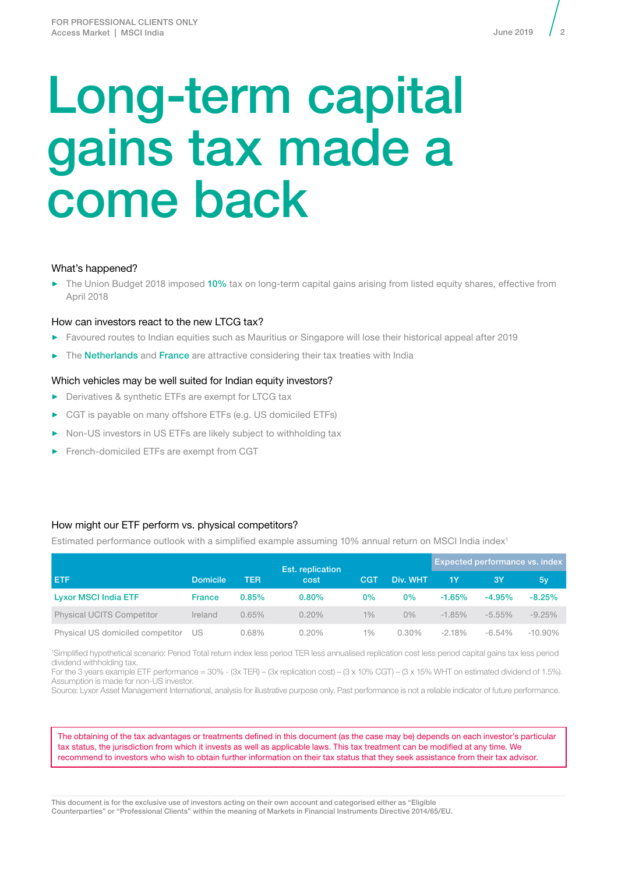## Long-term capital gains tax made a come back

## What's happened?

► The Union Budget 2018 imposed 10% tax on long-term capital gains arising from listed equity shares, effective from April 2018

## How can investors react to the new LTCG tax?

- ► Favoured routes to Indian equities such as Mauritius or Singapore will lose their historical appeal after 2019
- ► The Netherlands and France are attractive considering their tax treaties with India

## Which vehicles may be well suited for Indian equity investors?

- ► Derivatives & synthetic ETFs are exempt for LTCG tax
- ► CGT is payable on many offshore ETFs (e.g. US domiciled ETFs)
- Non-US investors in US ETFs are likely subject to withholding tax
- ► French-domiciled ETFs are exempt from CGT

## How might our ETF perform vs. physical competitors?

Estimated performance outlook with a simplified example assuming 10% annual return on MSCI India index<sup>1</sup>

|                                  |               |       | Est. replication |          |          | <b>Expected performance vs. index</b> |           |            |
|----------------------------------|---------------|-------|------------------|----------|----------|---------------------------------------|-----------|------------|
| /ET F<br><b>Domicile</b>         | TER           | cost  | <b>CGT</b>       | Div. WHT | 1Y       | 3Y                                    | 5y        |            |
| <b>Lyxor MSCI India ETF</b>      | <b>France</b> | 0.85% | $0.80\%$         | 0%       | $0\%$    | $-1.65%$                              | $-4.95%$  | $-8.25%$   |
| <b>Physical UCITS Competitor</b> | Ireland       | 0.65% | $0.20\%$         | 1%       | $0\%$    | $-1.85%$                              | $-5.55\%$ | $-9.25%$   |
| Physical US domiciled competitor | US            | 0.68% | 0.20%            | $1\%$    | $0.30\%$ | $-2.18\%$                             | $-6.54\%$ | $-10.90\%$ |

1 Simplified hypothetical scenario: Period Total return index less period TER less annualised replication cost less period capital gains tax less period dividend withholding tax.

For the 3 years example ETF performance = 30% - (3x TER) – (3x replication cost) – (3 x 10% CGT) – (3 x 15% WHT on estimated dividend of 1.5%). Assumption is made for non-US investor.

Source: Lyxor Asset Management International, analysis for illustrative purpose only. Past performance is not a reliable indicator of future performance.

The obtaining of the tax advantages or treatments defined in this document (as the case may be) depends on each investor's particular tax status, the jurisdiction from which it invests as well as applicable laws. This tax treatment can be modified at any time. We recommend to investors who wish to obtain further information on their tax status that they seek assistance from their tax advisor.

This document is for the exclusive use of investors acting on their own account and categorised either as "Eligible Counterparties" or "Professional Clients" within the meaning of Markets in Financial Instruments Directive 2014/65/EU.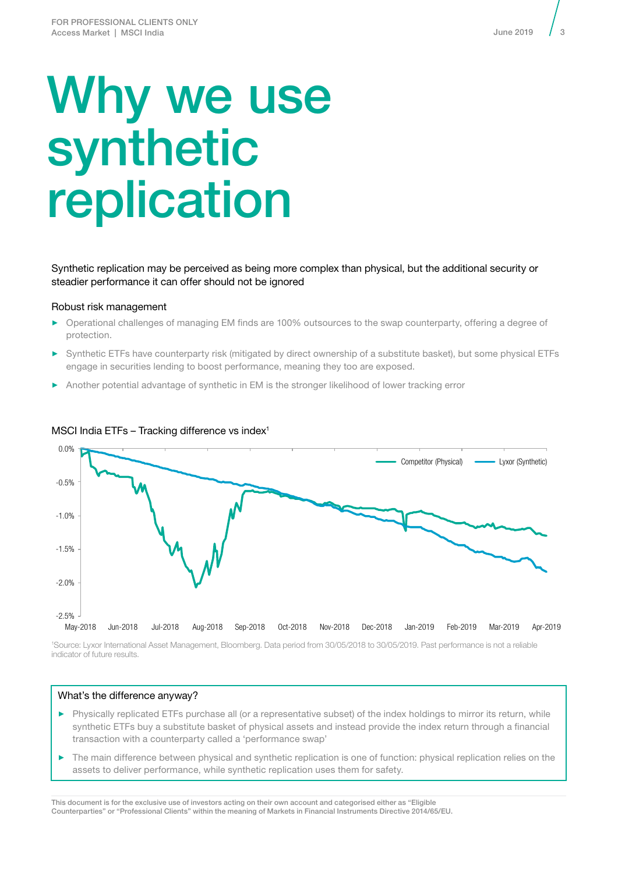## Why we use synthetic replication

Synthetic replication may be perceived as being more complex than physical, but the additional security or steadier performance it can offer should not be ignored

#### Robust risk management

- ► Operational challenges of managing EM finds are 100% outsources to the swap counterparty, offering a degree of protection.
- ► Synthetic ETFs have counterparty risk (mitigated by direct ownership of a substitute basket), but some physical ETFs engage in securities lending to boost performance, meaning they too are exposed.
- Another potential advantage of synthetic in EM is the stronger likelihood of lower tracking error



#### MSCI India ETFs  $-$  Tracking difference vs index<sup>1</sup>

1 Source: Lyxor International Asset Management, Bloomberg. Data period from 30/05/2018 to 30/05/2019. Past performance is not a reliable indicator of future results.

#### What's the difference anyway?

- ► Physically replicated ETFs purchase all (or a representative subset) of the index holdings to mirror its return, while synthetic ETFs buy a substitute basket of physical assets and instead provide the index return through a financial transaction with a counterparty called a 'performance swap'
- ► The main difference between physical and synthetic replication is one of function: physical replication relies on the assets to deliver performance, while synthetic replication uses them for safety.

This document is for the exclusive use of investors acting on their own account and categorised either as "Eligible Counterparties" or "Professional Clients" within the meaning of Markets in Financial Instruments Directive 2014/65/EU. 3